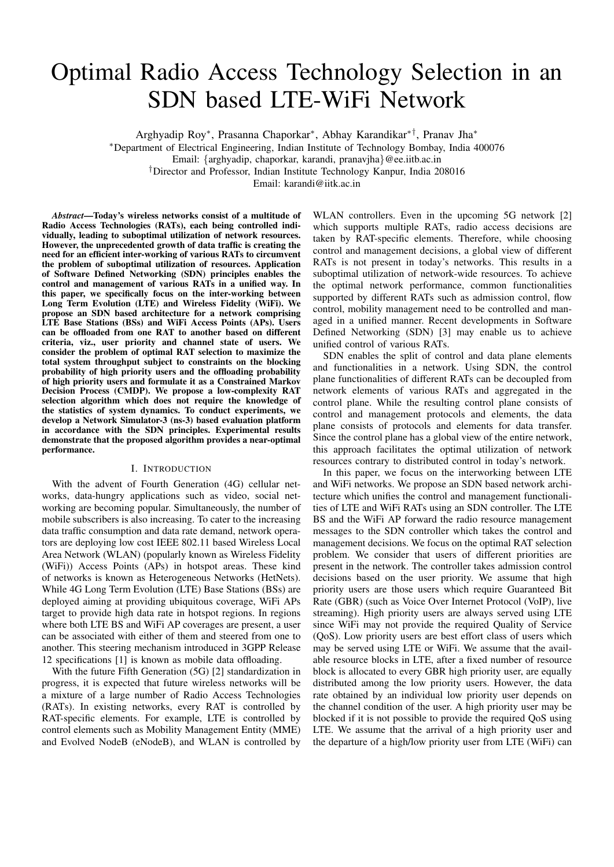# Optimal Radio Access Technology Selection in an SDN based LTE-WiFi Network

Arghyadip Roy<sup>∗</sup> , Prasanna Chaporkar<sup>∗</sup> , Abhay Karandikar∗†, Pranav Jha<sup>∗</sup>

<sup>∗</sup>Department of Electrical Engineering, Indian Institute of Technology Bombay, India 400076

Email: {arghyadip, chaporkar, karandi, pranavjha}@ee.iitb.ac.in

†Director and Professor, Indian Institute Technology Kanpur, India 208016

Email: karandi@iitk.ac.in

*Abstract*—Today's wireless networks consist of a multitude of Radio Access Technologies (RATs), each being controlled individually, leading to suboptimal utilization of network resources. However, the unprecedented growth of data traffic is creating the need for an efficient inter-working of various RATs to circumvent the problem of suboptimal utilization of resources. Application of Software Defined Networking (SDN) principles enables the control and management of various RATs in a unified way. In this paper, we specifically focus on the inter-working between Long Term Evolution (LTE) and Wireless Fidelity (WiFi). We propose an SDN based architecture for a network comprising LTE Base Stations (BSs) and WiFi Access Points (APs). Users can be offloaded from one RAT to another based on different criteria, viz., user priority and channel state of users. We consider the problem of optimal RAT selection to maximize the total system throughput subject to constraints on the blocking probability of high priority users and the offloading probability of high priority users and formulate it as a Constrained Markov Decision Process (CMDP). We propose a low-complexity RAT selection algorithm which does not require the knowledge of the statistics of system dynamics. To conduct experiments, we develop a Network Simulator-3 (ns-3) based evaluation platform in accordance with the SDN principles. Experimental results demonstrate that the proposed algorithm provides a near-optimal performance.

#### I. INTRODUCTION

With the advent of Fourth Generation (4G) cellular networks, data-hungry applications such as video, social networking are becoming popular. Simultaneously, the number of mobile subscribers is also increasing. To cater to the increasing data traffic consumption and data rate demand, network operators are deploying low cost IEEE 802.11 based Wireless Local Area Network (WLAN) (popularly known as Wireless Fidelity (WiFi)) Access Points (APs) in hotspot areas. These kind of networks is known as Heterogeneous Networks (HetNets). While 4G Long Term Evolution (LTE) Base Stations (BSs) are deployed aiming at providing ubiquitous coverage, WiFi APs target to provide high data rate in hotspot regions. In regions where both LTE BS and WiFi AP coverages are present, a user can be associated with either of them and steered from one to another. This steering mechanism introduced in 3GPP Release 12 specifications [1] is known as mobile data offloading.

With the future Fifth Generation (5G) [2] standardization in progress, it is expected that future wireless networks will be a mixture of a large number of Radio Access Technologies (RATs). In existing networks, every RAT is controlled by RAT-specific elements. For example, LTE is controlled by control elements such as Mobility Management Entity (MME) and Evolved NodeB (eNodeB), and WLAN is controlled by

WLAN controllers. Even in the upcoming 5G network [2] which supports multiple RATs, radio access decisions are taken by RAT-specific elements. Therefore, while choosing control and management decisions, a global view of different RATs is not present in today's networks. This results in a suboptimal utilization of network-wide resources. To achieve the optimal network performance, common functionalities supported by different RATs such as admission control, flow control, mobility management need to be controlled and managed in a unified manner. Recent developments in Software Defined Networking (SDN) [3] may enable us to achieve unified control of various RATs.

SDN enables the split of control and data plane elements and functionalities in a network. Using SDN, the control plane functionalities of different RATs can be decoupled from network elements of various RATs and aggregated in the control plane. While the resulting control plane consists of control and management protocols and elements, the data plane consists of protocols and elements for data transfer. Since the control plane has a global view of the entire network, this approach facilitates the optimal utilization of network resources contrary to distributed control in today's network.

In this paper, we focus on the interworking between LTE and WiFi networks. We propose an SDN based network architecture which unifies the control and management functionalities of LTE and WiFi RATs using an SDN controller. The LTE BS and the WiFi AP forward the radio resource management messages to the SDN controller which takes the control and management decisions. We focus on the optimal RAT selection problem. We consider that users of different priorities are present in the network. The controller takes admission control decisions based on the user priority. We assume that high priority users are those users which require Guaranteed Bit Rate (GBR) (such as Voice Over Internet Protocol (VoIP), live streaming). High priority users are always served using LTE since WiFi may not provide the required Quality of Service (QoS). Low priority users are best effort class of users which may be served using LTE or WiFi. We assume that the available resource blocks in LTE, after a fixed number of resource block is allocated to every GBR high priority user, are equally distributed among the low priority users. However, the data rate obtained by an individual low priority user depends on the channel condition of the user. A high priority user may be blocked if it is not possible to provide the required QoS using LTE. We assume that the arrival of a high priority user and the departure of a high/low priority user from LTE (WiFi) can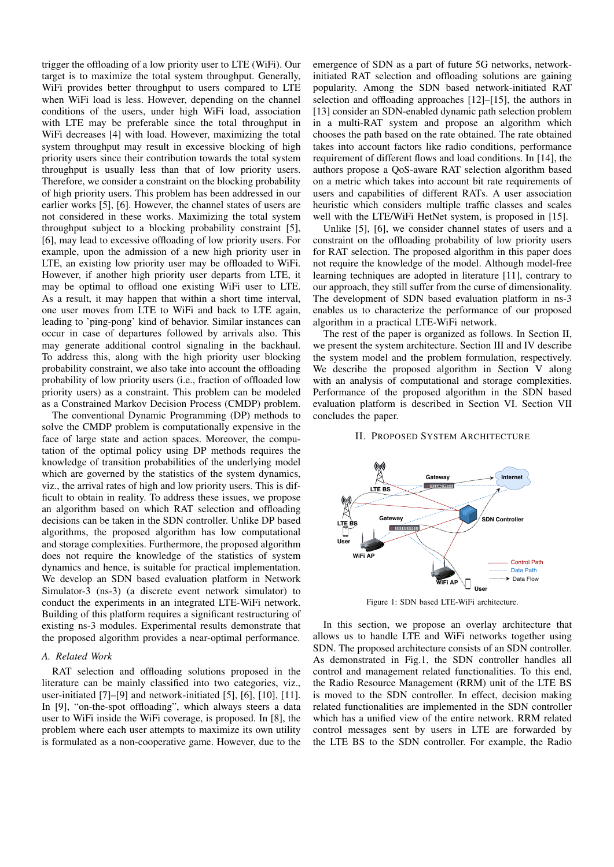trigger the offloading of a low priority user to LTE (WiFi). Our target is to maximize the total system throughput. Generally, WiFi provides better throughput to users compared to LTE when WiFi load is less. However, depending on the channel conditions of the users, under high WiFi load, association with LTE may be preferable since the total throughput in WiFi decreases [4] with load. However, maximizing the total system throughput may result in excessive blocking of high priority users since their contribution towards the total system throughput is usually less than that of low priority users. Therefore, we consider a constraint on the blocking probability of high priority users. This problem has been addressed in our earlier works [5], [6]. However, the channel states of users are not considered in these works. Maximizing the total system throughput subject to a blocking probability constraint [5], [6], may lead to excessive offloading of low priority users. For example, upon the admission of a new high priority user in LTE, an existing low priority user may be offloaded to WiFi. However, if another high priority user departs from LTE, it may be optimal to offload one existing WiFi user to LTE. As a result, it may happen that within a short time interval, one user moves from LTE to WiFi and back to LTE again, leading to 'ping-pong' kind of behavior. Similar instances can occur in case of departures followed by arrivals also. This may generate additional control signaling in the backhaul. To address this, along with the high priority user blocking probability constraint, we also take into account the offloading probability of low priority users (i.e., fraction of offloaded low priority users) as a constraint. This problem can be modeled as a Constrained Markov Decision Process (CMDP) problem.

The conventional Dynamic Programming (DP) methods to solve the CMDP problem is computationally expensive in the face of large state and action spaces. Moreover, the computation of the optimal policy using DP methods requires the knowledge of transition probabilities of the underlying model which are governed by the statistics of the system dynamics, viz., the arrival rates of high and low priority users. This is difficult to obtain in reality. To address these issues, we propose an algorithm based on which RAT selection and offloading decisions can be taken in the SDN controller. Unlike DP based algorithms, the proposed algorithm has low computational and storage complexities. Furthermore, the proposed algorithm does not require the knowledge of the statistics of system dynamics and hence, is suitable for practical implementation. We develop an SDN based evaluation platform in Network Simulator-3 (ns-3) (a discrete event network simulator) to conduct the experiments in an integrated LTE-WiFi network. Building of this platform requires a significant restructuring of existing ns-3 modules. Experimental results demonstrate that the proposed algorithm provides a near-optimal performance.

# *A. Related Work*

RAT selection and offloading solutions proposed in the literature can be mainly classified into two categories, viz., user-initiated [7]–[9] and network-initiated [5], [6], [10], [11]. In [9], "on-the-spot offloading", which always steers a data user to WiFi inside the WiFi coverage, is proposed. In [8], the problem where each user attempts to maximize its own utility is formulated as a non-cooperative game. However, due to the

emergence of SDN as a part of future 5G networks, networkinitiated RAT selection and offloading solutions are gaining popularity. Among the SDN based network-initiated RAT selection and offloading approaches [12]–[15], the authors in [13] consider an SDN-enabled dynamic path selection problem in a multi-RAT system and propose an algorithm which chooses the path based on the rate obtained. The rate obtained takes into account factors like radio conditions, performance requirement of different flows and load conditions. In [14], the authors propose a QoS-aware RAT selection algorithm based on a metric which takes into account bit rate requirements of users and capabilities of different RATs. A user association heuristic which considers multiple traffic classes and scales well with the LTE/WiFi HetNet system, is proposed in [15].

Unlike [5], [6], we consider channel states of users and a constraint on the offloading probability of low priority users for RAT selection. The proposed algorithm in this paper does not require the knowledge of the model. Although model-free learning techniques are adopted in literature [11], contrary to our approach, they still suffer from the curse of dimensionality. The development of SDN based evaluation platform in ns-3 enables us to characterize the performance of our proposed algorithm in a practical LTE-WiFi network.

The rest of the paper is organized as follows. In Section II, we present the system architecture. Section III and IV describe the system model and the problem formulation, respectively. We describe the proposed algorithm in Section V along with an analysis of computational and storage complexities. Performance of the proposed algorithm in the SDN based evaluation platform is described in Section VI. Section VII concludes the paper.

#### II. PROPOSED SYSTEM ARCHITECTURE



Figure 1: SDN based LTE-WiFi architecture.

In this section, we propose an overlay architecture that allows us to handle LTE and WiFi networks together using SDN. The proposed architecture consists of an SDN controller. As demonstrated in Fig.1, the SDN controller handles all control and management related functionalities. To this end, the Radio Resource Management (RRM) unit of the LTE BS is moved to the SDN controller. In effect, decision making related functionalities are implemented in the SDN controller which has a unified view of the entire network. RRM related control messages sent by users in LTE are forwarded by the LTE BS to the SDN controller. For example, the Radio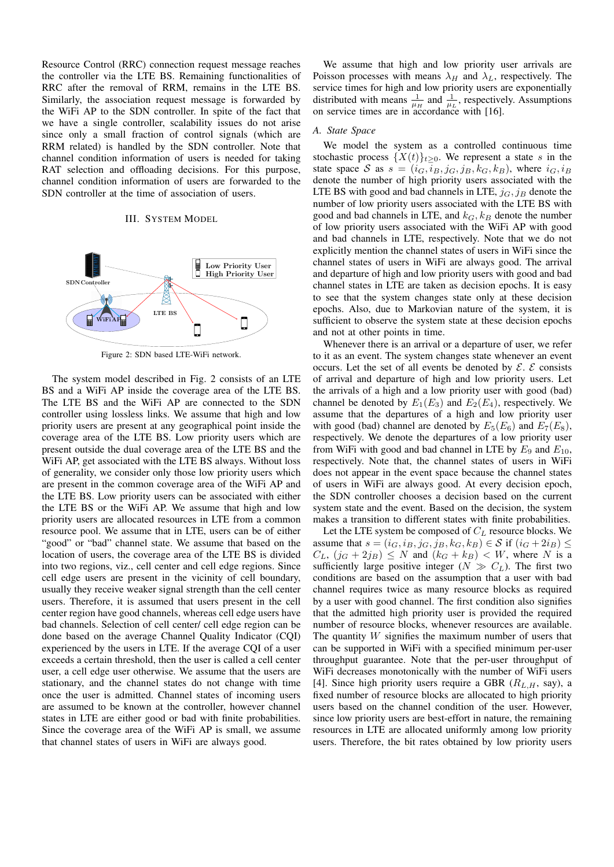Resource Control (RRC) connection request message reaches the controller via the LTE BS. Remaining functionalities of RRC after the removal of RRM, remains in the LTE BS. Similarly, the association request message is forwarded by the WiFi AP to the SDN controller. In spite of the fact that we have a single controller, scalability issues do not arise since only a small fraction of control signals (which are RRM related) is handled by the SDN controller. Note that channel condition information of users is needed for taking RAT selection and offloading decisions. For this purpose, channel condition information of users are forwarded to the SDN controller at the time of association of users.

## III. SYSTEM MODEL



Figure 2: SDN based LTE-WiFi network.

The system model described in Fig. 2 consists of an LTE BS and a WiFi AP inside the coverage area of the LTE BS. The LTE BS and the WiFi AP are connected to the SDN controller using lossless links. We assume that high and low priority users are present at any geographical point inside the coverage area of the LTE BS. Low priority users which are present outside the dual coverage area of the LTE BS and the WiFi AP, get associated with the LTE BS always. Without loss of generality, we consider only those low priority users which are present in the common coverage area of the WiFi AP and the LTE BS. Low priority users can be associated with either the LTE BS or the WiFi AP. We assume that high and low priority users are allocated resources in LTE from a common resource pool. We assume that in LTE, users can be of either "good" or "bad" channel state. We assume that based on the location of users, the coverage area of the LTE BS is divided into two regions, viz., cell center and cell edge regions. Since cell edge users are present in the vicinity of cell boundary, usually they receive weaker signal strength than the cell center users. Therefore, it is assumed that users present in the cell center region have good channels, whereas cell edge users have bad channels. Selection of cell center/ cell edge region can be done based on the average Channel Quality Indicator (CQI) experienced by the users in LTE. If the average CQI of a user exceeds a certain threshold, then the user is called a cell center user, a cell edge user otherwise. We assume that the users are stationary, and the channel states do not change with time once the user is admitted. Channel states of incoming users are assumed to be known at the controller, however channel states in LTE are either good or bad with finite probabilities. Since the coverage area of the WiFi AP is small, we assume that channel states of users in WiFi are always good.

We assume that high and low priority user arrivals are Poisson processes with means  $\lambda_H$  and  $\lambda_L$ , respectively. The service times for high and low priority users are exponentially distributed with means  $\frac{1}{\mu_H}$  and  $\frac{1}{\mu_L}$ , respectively. Assumptions on service times are in  $\alpha_{\text{e}}^{\mu}$  accordance with [16].

## *A. State Space*

We model the system as a controlled continuous time stochastic process  $\{X(t)\}_{t\geq0}$ . We represent a state s in the state space S as  $s = (i_G, i_B, j_G, j_B, k_G, k_B)$ , where  $i_G, i_B$ denote the number of high priority users associated with the LTE BS with good and bad channels in LTE,  $j_G$ ,  $j_B$  denote the number of low priority users associated with the LTE BS with good and bad channels in LTE, and  $k_G$ ,  $k_B$  denote the number of low priority users associated with the WiFi AP with good and bad channels in LTE, respectively. Note that we do not explicitly mention the channel states of users in WiFi since the channel states of users in WiFi are always good. The arrival and departure of high and low priority users with good and bad channel states in LTE are taken as decision epochs. It is easy to see that the system changes state only at these decision epochs. Also, due to Markovian nature of the system, it is sufficient to observe the system state at these decision epochs and not at other points in time.

Whenever there is an arrival or a departure of user, we refer to it as an event. The system changes state whenever an event occurs. Let the set of all events be denoted by  $\mathcal{E}$ .  $\mathcal{E}$  consists of arrival and departure of high and low priority users. Let the arrivals of a high and a low priority user with good (bad) channel be denoted by  $E_1(E_3)$  and  $E_2(E_4)$ , respectively. We assume that the departures of a high and low priority user with good (bad) channel are denoted by  $E_5(E_6)$  and  $E_7(E_8)$ , respectively. We denote the departures of a low priority user from WiFi with good and bad channel in LTE by  $E_9$  and  $E_{10}$ , respectively. Note that, the channel states of users in WiFi does not appear in the event space because the channel states of users in WiFi are always good. At every decision epoch, the SDN controller chooses a decision based on the current system state and the event. Based on the decision, the system makes a transition to different states with finite probabilities.

Let the LTE system be composed of  $C_L$  resource blocks. We assume that  $s = (i_G, i_B, j_G, j_B, k_G, k_B) \in S$  if  $(i_G + 2i_B) \le$  $C_L$ ,  $(j_G + 2j_B) \leq N$  and  $(k_G + k_B) < W$ , where N is a sufficiently large positive integer ( $N \gg C_L$ ). The first two conditions are based on the assumption that a user with bad channel requires twice as many resource blocks as required by a user with good channel. The first condition also signifies that the admitted high priority user is provided the required number of resource blocks, whenever resources are available. The quantity  $W$  signifies the maximum number of users that can be supported in WiFi with a specified minimum per-user throughput guarantee. Note that the per-user throughput of WiFi decreases monotonically with the number of WiFi users [4]. Since high priority users require a GBR  $(R_{L,H}, \text{say})$ , a fixed number of resource blocks are allocated to high priority users based on the channel condition of the user. However, since low priority users are best-effort in nature, the remaining resources in LTE are allocated uniformly among low priority users. Therefore, the bit rates obtained by low priority users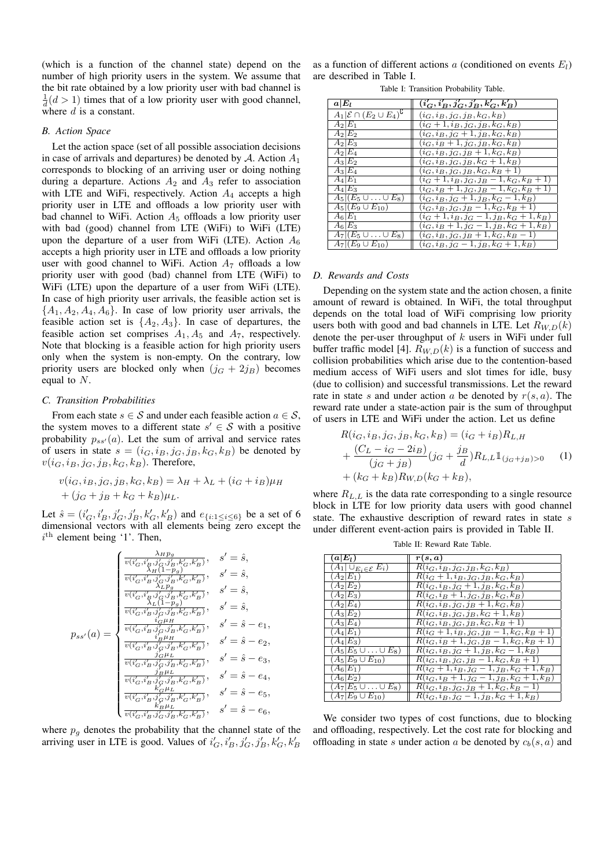(which is a function of the channel state) depend on the number of high priority users in the system. We assume that the bit rate obtained by a low priority user with bad channel is  $\frac{1}{d}(d > 1)$  times that of a low priority user with good channel, where  $d$  is a constant.

### *B. Action Space*

Let the action space (set of all possible association decisions in case of arrivals and departures) be denoted by  $A$ . Action  $A_1$ corresponds to blocking of an arriving user or doing nothing during a departure. Actions  $A_2$  and  $A_3$  refer to association with LTE and WiFi, respectively. Action  $A_4$  accepts a high priority user in LTE and offloads a low priority user with bad channel to WiFi. Action  $A_5$  offloads a low priority user with bad (good) channel from LTE (WiFi) to WiFi (LTE) upon the departure of a user from WiFi (LTE). Action  $A_6$ accepts a high priority user in LTE and offloads a low priority user with good channel to WiFi. Action  $A_7$  offloads a low priority user with good (bad) channel from LTE (WiFi) to WiFi (LTE) upon the departure of a user from WiFi (LTE). In case of high priority user arrivals, the feasible action set is  $\{A_1, A_2, A_4, A_6\}$ . In case of low priority user arrivals, the feasible action set is  $\{A_2, A_3\}$ . In case of departures, the feasible action set comprises  $A_1$ ,  $A_5$  and  $A_7$ , respectively. Note that blocking is a feasible action for high priority users only when the system is non-empty. On the contrary, low priority users are blocked only when  $(j_G + 2j_B)$  becomes equal to N.

## *C. Transition Probabilities*

From each state  $s \in \mathcal{S}$  and under each feasible action  $a \in \mathcal{S}$ , the system moves to a different state  $s' \in S$  with a positive probability  $p_{ss'}(a)$ . Let the sum of arrival and service rates of users in state  $s = (i_G, i_B, j_G, j_B, k_G, k_B)$  be denoted by  $v(i_G, i_B, j_G, j_B, k_G, k_B)$ . Therefore,

$$
v(i_G, i_B, j_G, j_B, k_G, k_B) = \lambda_H + \lambda_L + (i_G + i_B)\mu_H
$$
  
+ 
$$
(j_G + j_B + k_G + k_B)\mu_L.
$$

Let  $\hat{s} = (i'_G, i'_B, j'_G, j'_B, k'_G, k'_B)$  and  $e_{\{i: 1 \le i \le 6\}}$  be a set of 6 dimensional vectors with all elements being zero except the  $i^{\text{th}}$  element being '1'. Then,

$$
p_{ss'}(a) = \begin{cases} \frac{\lambda_{HPg}}{v(i'_G,i'_B,j'_G,j'_B,k'_G,k'_B)}, & s' = \hat{s}, \\ \frac{\lambda_{H}(1-p_g)}{v(i'_G,i'_B,j'_G,j'_B,k'_G,k'_B)}, & s' = \hat{s}, \\ \frac{\lambda_{LPg}}{v(i'_G,i'_B,j'_G,j'_B,k'_G,k'_B)}, & s' = \hat{s}, \\ \frac{\lambda_{LPg}}{v(i'_G,i'_B,j'_G,j'_B,k'_G,k'_B)}, & s' = \hat{s}, \\ \frac{\lambda_{LPg}}{v(i'_G,i'_B,j'_G,j'_B,k'_G,k'_B)}, & s' = \hat{s} - e_1, \\ \frac{\hat{i}'_G\mu_{H}}{v(i'_G,i'_B,j'_G,j'_B,k'_G,k'_B)}, & s' = \hat{s} - e_2, \\ \frac{\hat{i}'_G\mu_{H}}{v(i'_G,i'_B,j'_G,j'_B,k'_G,k'_B)}, & s' = \hat{s} - e_3, \\ \frac{\hat{j}'_G\mu_{L}}{v(i'_G,i'_B,j'_G,j'_B,k'_G,k'_B)}, & s' = \hat{s} - e_4, \\ \frac{\hat{j}'_G\mu_{L}}{v(i'_G,i'_B,j'_G,j'_B,k'_G,k'_B)}, & s' = \hat{s} - e_5, \\ \frac{\hat{k}'_G\mu_{L}}{v(i'_G,i'_B,j'_G,j'_B,k'_G,k'_B)}, & s' = \hat{s} - e_6, \end{cases}
$$

where  $p<sub>q</sub>$  denotes the probability that the channel state of the arriving user in LTE is good. Values of  $i'_G, i'_B, j'_G, j'_B, k'_G, k'_B$ 

as a function of different actions a (conditioned on events  $E_l$ ) are described in Table I.

Table I: Transition Probability Table.

| $a E_l $                                            | $(i'_G,i'_B,j'_G,j'_B,k'_G,k'_B)$        |
|-----------------------------------------------------|------------------------------------------|
| $A_1 \mathcal{E} \cap (E_2 \cup E_4)^{\complement}$ | $(i_G, i_B, j_G, j_B, k_G, k_B)$         |
| $A_2 E_1$                                           | $(i_G+1, i_B, j_G, j_B, k_G, k_B)$       |
| $A_2 E_2$                                           | $(i_G, i_B, j_G + 1, j_B, k_G, k_B)$     |
| $A_2 E_3$                                           | $(i_G, i_B + 1, j_G, j_B, k_G, k_B)$     |
| $A_2 E_4$                                           | $(i_G, i_B, j_G, j_B + 1, k_G, k_B)$     |
| $A_3 E_2$                                           | $(i_G, i_B, j_G, j_B, k_G + 1, k_B)$     |
| $A_3 E_4$                                           | $(i_G, i_B, j_G, j_B, k_G, k_B + 1)$     |
| $A_4 E_1$                                           | $(i_G+1, i_B, j_G, j_B-1, k_G, k_B+1)$   |
| $A_4 E_3$                                           | $(i_G, i_B+1, j_G, j_B-1, k_G, k_B+1)$   |
| $A_5 (E_5\cup\ldots\cup E_8)$                       | $(i_G, i_B, j_G + 1, j_B, k_G - 1, k_B)$ |
| $A_5 (E_9 \cup E_{10})$                             | $(i_G, i_B, j_G, j_B - 1, k_G, k_B + 1)$ |
| $A_6 E_1 $                                          | $(i_G+1, i_B, j_G-1, j_B, k_G+1, k_B)$   |
| $A_6 E_3 $                                          | $(i_G, i_B+1, j_G-1, j_B, k_G+1, k_B)$   |
| $A_7 (E_5\cup\ldots\cup E_8)$                       | $(i_G, i_B, j_G, j_B+1, k_G, k_B-1)$     |
| $A_7 (E_9 \cup E_{10})$                             | $(i_G, i_B, j_G - 1, j_B, k_G + 1, k_B)$ |

#### *D. Rewards and Costs*

Depending on the system state and the action chosen, a finite amount of reward is obtained. In WiFi, the total throughput depends on the total load of WiFi comprising low priority users both with good and bad channels in LTE. Let  $R_{W,D}(k)$ denote the per-user throughput of  $k$  users in WiFi under full buffer traffic model [4].  $R_{W,D}(k)$  is a function of success and collision probabilities which arise due to the contention-based medium access of WiFi users and slot times for idle, busy (due to collision) and successful transmissions. Let the reward rate in state s and under action a be denoted by  $r(s, a)$ . The reward rate under a state-action pair is the sum of throughput of users in LTE and WiFi under the action. Let us define

$$
R(i_G, i_B, j_G, j_B, k_G, k_B) = (i_G + i_B)R_{L,H}
$$
  
+ 
$$
\frac{(C_L - i_G - 2i_B)}{(j_G + j_B)}(j_G + \frac{j_B}{d})R_{L,L}1_{(j_G + j_B) > 0}
$$
 (1)  
+ 
$$
(k_G + k_B)R_{W,D}(k_G + k_B),
$$

where  $R_{L,L}$  is the data rate corresponding to a single resource block in LTE for low priority data users with good channel state. The exhaustive description of reward rates in state s under different event-action pairs is provided in Table II.

| $(a E_l)$                              | r(s,a)                                        |
|----------------------------------------|-----------------------------------------------|
| $(A_1 \cup_{E_i \in \mathcal{E}} E_i)$ | $R(i_G, i_B, j_G, j_B, k_G, k_B)$             |
| $(A_2 E_1)$                            | $R(i_G+1, i_B, j_G, j_B, k_G, k_B)$           |
| $(A_2 E_2)$                            | $R(i_G, i_B, j_G + 1, j_B, k_G, k_B)$         |
| $(A_2 E_3)$                            | $R(i_G, i_B + 1, j_G, j_B, k_G, k_B)$         |
| $(A_2 E_4)$                            | $R(i_G, i_B, j_G, j_B + 1, k_G, k_B)$         |
| $(A_3 E_2)$                            | $R(i_G, i_B, j_G, j_B, k_G + 1, k_B)$         |
| $(A_3 E_4)$                            | $R(i_G, i_B, j_G, j_B, k_G, k_B + 1)$         |
| $(A_4 E_1)$                            | $R(i_G+1, i_B, j_G, j_B-1, k_G, k_B+1)$       |
| $(A_4 E_3)$                            | $R(i_G, i_B+1, j_G, j_B-1, k_G, k_B+1)$       |
| $(A_5 E_5\cup\ldots\cup E_8)$          | $R(i_G, i_B, j_G + 1, j_B, k_G - 1, k_B)$     |
| $(A_5 E_9 \cup E_{10})$                | $R(i_G, i_B, j_G, j_B-1, k_G, k_B+1)$         |
| $(A_6 E_1)$                            | $R(i_G+1, i_B, j_G-1, j_B, k_G+1, k_B)$       |
| $(A_6 E_2)$                            | $R(i_G, i_B + 1, j_G - 1, j_B, k_G + 1, k_B)$ |
| $(A_7 E_5\cup\ldots\cup E_8)$          | $R(i_G, i_B, j_G, j_B+1, k_G, k_B-1)$         |
| $(A_7 E_9\cup E_{10})$                 | $R(i_G, i_B, j_G - 1, j_B, k_G + 1, k_B)$     |

Table II: Reward Rate Table.

We consider two types of cost functions, due to blocking and offloading, respectively. Let the cost rate for blocking and offloading in state s under action a be denoted by  $c_b(s, a)$  and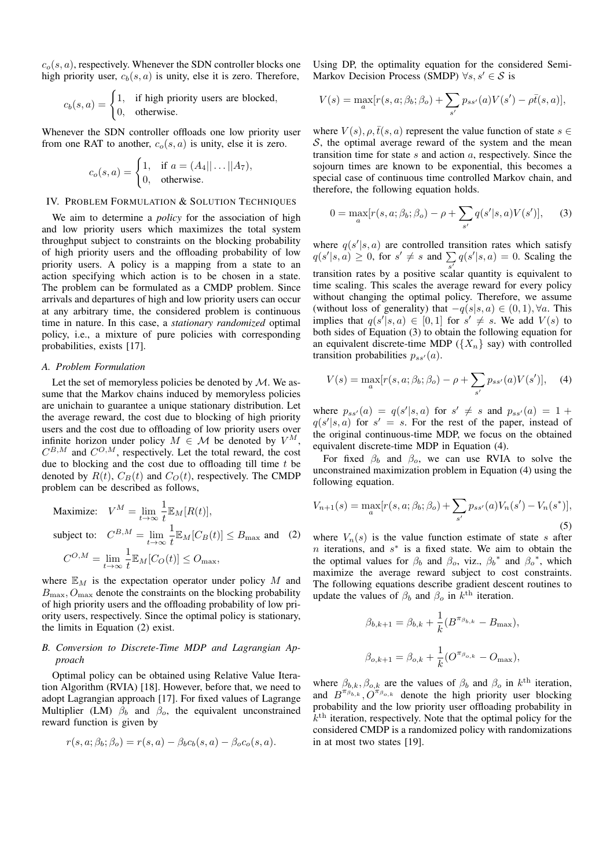$c<sub>o</sub>(s, a)$ , respectively. Whenever the SDN controller blocks one high priority user,  $c_b(s, a)$  is unity, else it is zero. Therefore,

$$
c_b(s, a) = \begin{cases} 1, & \text{if high priority users are blocked,} \\ 0, & \text{otherwise.} \end{cases}
$$

Whenever the SDN controller offloads one low priority user from one RAT to another,  $c_o(s, a)$  is unity, else it is zero.

$$
c_o(s, a) = \begin{cases} 1, & \text{if } a = (A_4 || \dots || A_7), \\ 0, & \text{otherwise.} \end{cases}
$$

### IV. PROBLEM FORMULATION & SOLUTION TECHNIQUES

We aim to determine a *policy* for the association of high and low priority users which maximizes the total system throughput subject to constraints on the blocking probability of high priority users and the offloading probability of low priority users. A policy is a mapping from a state to an action specifying which action is to be chosen in a state. The problem can be formulated as a CMDP problem. Since arrivals and departures of high and low priority users can occur at any arbitrary time, the considered problem is continuous time in nature. In this case, a *stationary randomized* optimal policy, i.e., a mixture of pure policies with corresponding probabilities, exists [17].

## *A. Problem Formulation*

Let the set of memoryless policies be denoted by  $M$ . We assume that the Markov chains induced by memoryless policies are unichain to guarantee a unique stationary distribution. Let the average reward, the cost due to blocking of high priority users and the cost due to offloading of low priority users over infinite horizon under policy  $M \in \mathcal{M}$  be denoted by  $V^M$ ,  $C^{B,M}$  and  $C^{O,M}$ , respectively. Let the total reward, the cost due to blocking and the cost due to offloading till time  $t$  be denoted by  $R(t)$ ,  $C_B(t)$  and  $C_O(t)$ , respectively. The CMDP problem can be described as follows,

Maximize: 
$$
V^M = \lim_{t \to \infty} \frac{1}{t} \mathbb{E}_M[R(t)],
$$
  
\nsubject to:  $C^{B,M} = \lim_{t \to \infty} \frac{1}{t} \mathbb{E}_M[C_B(t)] \le B_{\text{max}}$  and (2)  
\n $C^{O,M} = \lim_{t \to \infty} \frac{1}{t} \mathbb{E}_M[C_O(t)] \le O_{\text{max}},$ 

where  $\mathbb{E}_M$  is the expectation operator under policy M and  $B_{\text{max}}$ ,  $O_{\text{max}}$  denote the constraints on the blocking probability of high priority users and the offloading probability of low priority users, respectively. Since the optimal policy is stationary, the limits in Equation (2) exist.

# *B. Conversion to Discrete-Time MDP and Lagrangian Approach*

Optimal policy can be obtained using Relative Value Iteration Algorithm (RVIA) [18]. However, before that, we need to adopt Lagrangian approach [17]. For fixed values of Lagrange Multiplier (LM)  $\beta_b$  and  $\beta_o$ , the equivalent unconstrained reward function is given by

$$
r(s, a; \beta_b; \beta_o) = r(s, a) - \beta_b c_b(s, a) - \beta_o c_o(s, a).
$$

Using DP, the optimality equation for the considered Semi-Markov Decision Process (SMDP)  $\forall s, s' \in S$  is

$$
V(s) = \max_{a} [r(s, a; \beta_b; \beta_o) + \sum_{s'} p_{ss'}(a) V(s') - \rho \bar{t}(s, a)],
$$

where  $V(s)$ ,  $\rho$ ,  $\bar{t}(s, a)$  represent the value function of state  $s \in$  $S$ , the optimal average reward of the system and the mean transition time for state  $s$  and action  $a$ , respectively. Since the sojourn times are known to be exponential, this becomes a special case of continuous time controlled Markov chain, and therefore, the following equation holds.

$$
0 = \max_{a} [r(s, a; \beta_b; \beta_o) - \rho + \sum_{s'} q(s'|s, a)V(s')], \quad (3)
$$

where  $q(s'|s, a)$  are controlled transition rates which satisfy  $q(s'|s, a) \geq 0$ , for  $s' \neq s$  and  $\sum_{s'} q(s'|s, a) = 0$ . Scaling the transition rates by a positive scalar quantity is equivalent to time scaling. This scales the average reward for every policy without changing the optimal policy. Therefore, we assume (without loss of generality) that  $-q(s|s, a) \in (0, 1)$ ,  $\forall a$ . This implies that  $q(s'|s, a) \in [0, 1]$  for  $s' \neq s$ . We add  $V(s)$  to both sides of Equation (3) to obtain the following equation for an equivalent discrete-time MDP ( ${X_n}$  say) with controlled transition probabilities  $p_{ss'}(a)$ .

$$
V(s) = \max_{a} [r(s, a; \beta_b; \beta_o) - \rho + \sum_{s'} p_{ss'}(a)V(s')], \quad (4)
$$

where  $p_{ss'}(a) = q(s'|s, a)$  for  $s' \neq s$  and  $p_{ss'}(a) = 1 +$  $q(s'|s,a)$  for  $s' = s$ . For the rest of the paper, instead of the original continuous-time MDP, we focus on the obtained equivalent discrete-time MDP in Equation (4).

For fixed  $\beta_b$  and  $\beta_o$ , we can use RVIA to solve the unconstrained maximization problem in Equation (4) using the following equation.

$$
V_{n+1}(s) = \max_{a} [r(s, a; \beta_b; \beta_o) + \sum_{s'} p_{ss'}(a) V_n(s') - V_n(s^*)],
$$
\n(5)

where  $V_n(s)$  is the value function estimate of state s after *n* iterations, and  $s^*$  is a fixed state. We aim to obtain the the optimal values for  $\beta_b$  and  $\beta_o$ , viz.,  $\beta_b^*$  and  $\beta_o^*$ , which maximize the average reward subject to cost constraints. The following equations describe gradient descent routines to update the values of  $\beta_b$  and  $\beta_o$  in  $k^{\text{th}}$  iteration.

$$
\beta_{b,k+1} = \beta_{b,k} + \frac{1}{k} (B^{\pi_{\beta_{b,k}}} - B_{\max}),
$$
  

$$
\beta_{o,k+1} = \beta_{o,k} + \frac{1}{k} (O^{\pi_{\beta_{o,k}}} - O_{\max}),
$$

where  $\beta_{b,k}, \beta_{o,k}$  are the values of  $\beta_b$  and  $\beta_o$  in  $k^{\text{th}}$  iteration, and  $B^{\pi_{\beta_{b,k}}}$ ,  $O^{\pi_{\beta_{o,k}}}$  denote the high priority user blocking probability and the low priority user offloading probability in  $k<sup>th</sup>$  iteration, respectively. Note that the optimal policy for the considered CMDP is a randomized policy with randomizations in at most two states [19].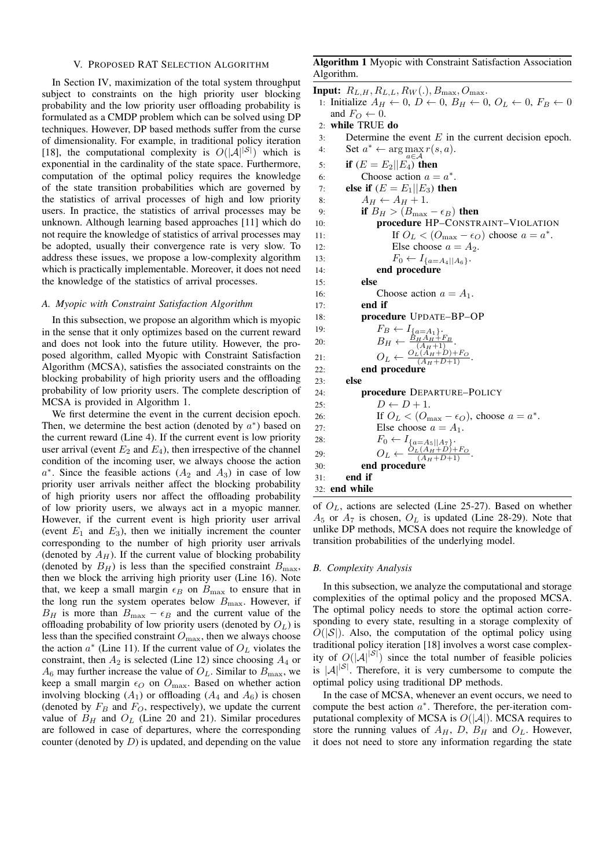#### V. PROPOSED RAT SELECTION ALGORITHM

In Section IV, maximization of the total system throughput subject to constraints on the high priority user blocking probability and the low priority user offloading probability is formulated as a CMDP problem which can be solved using DP techniques. However, DP based methods suffer from the curse of dimensionality. For example, in traditional policy iteration [18], the computational complexity is  $O(|\mathcal{A}|^{|S|})$  which is exponential in the cardinality of the state space. Furthermore, computation of the optimal policy requires the knowledge of the state transition probabilities which are governed by the statistics of arrival processes of high and low priority users. In practice, the statistics of arrival processes may be unknown. Although learning based approaches [11] which do not require the knowledge of statistics of arrival processes may be adopted, usually their convergence rate is very slow. To address these issues, we propose a low-complexity algorithm which is practically implementable. Moreover, it does not need the knowledge of the statistics of arrival processes.

## *A. Myopic with Constraint Satisfaction Algorithm*

In this subsection, we propose an algorithm which is myopic in the sense that it only optimizes based on the current reward and does not look into the future utility. However, the proposed algorithm, called Myopic with Constraint Satisfaction Algorithm (MCSA), satisfies the associated constraints on the blocking probability of high priority users and the offloading probability of low priority users. The complete description of MCSA is provided in Algorithm 1.

We first determine the event in the current decision epoch. Then, we determine the best action (denoted by  $a^*$ ) based on the current reward (Line 4). If the current event is low priority user arrival (event  $E_2$  and  $E_4$ ), then irrespective of the channel condition of the incoming user, we always choose the action  $a^*$ . Since the feasible actions  $(A_2 \text{ and } A_3)$  in case of low priority user arrivals neither affect the blocking probability of high priority users nor affect the offloading probability of low priority users, we always act in a myopic manner. However, if the current event is high priority user arrival (event  $E_1$  and  $E_3$ ), then we initially increment the counter corresponding to the number of high priority user arrivals (denoted by  $A_H$ ). If the current value of blocking probability (denoted by  $B_H$ ) is less than the specified constraint  $B_{\text{max}}$ , then we block the arriving high priority user (Line 16). Note that, we keep a small margin  $\epsilon_B$  on  $B_{\text{max}}$  to ensure that in the long run the system operates below  $B_{\text{max}}$ . However, if  $B_H$  is more than  $B_{\text{max}} - \epsilon_B$  and the current value of the offloading probability of low priority users (denoted by  $O_L$ ) is less than the specified constraint  $O_{\text{max}}$ , then we always choose the action  $a^*$  (Line 11). If the current value of  $O<sub>L</sub>$  violates the constraint, then  $A_2$  is selected (Line 12) since choosing  $A_4$  or  $A_6$  may further increase the value of  $O_L$ . Similar to  $B_{\text{max}}$ , we keep a small margin  $\epsilon_O$  on  $O_{\text{max}}$ . Based on whether action involving blocking  $(A_1)$  or offloading  $(A_4$  and  $A_6$ ) is chosen (denoted by  $F_B$  and  $F_O$ , respectively), we update the current value of  $B_H$  and  $O_L$  (Line 20 and 21). Similar procedures are followed in case of departures, where the corresponding counter (denoted by  $D$ ) is updated, and depending on the value

# Algorithm 1 Myopic with Constraint Satisfaction Association Algorithm.

```
Input: R_{L,H}, R_{L,L}, R_W(.), B_{\text{max}}, O_{\text{max}}.
 1: Initialize A_H \leftarrow 0, D \leftarrow 0, B_H \leftarrow 0, O_L \leftarrow 0, F_B \leftarrow 0and F_O \leftarrow 0.
 2: while TRUE do
 3: Determine the event E in the current decision epoch.
 4: Set a^* \leftarrow \arg \max_{s} r(s, a).
 5: if (E = E_2 || E_4) then
 6: Choose action a = a^*.
 7: else if (E = E_1 || E_3) then
 8: A_H \leftarrow A_H + 1.<br>9: if B_H > (B_{\text{max}})if B_H > (B_{\text{max}} - \epsilon_B) then
10: procedure HP–CONSTRAINT–VIOLATION
11: If O_L < (O_{\text{max}} - \epsilon_O) choose a = a^*.
12: Else choose a = A_2.
13: F_0 \leftarrow I_{\{a = A_4 | |A_6\}}.<br>14: end procedure
                end procedure
15: else
16: Choose action a = A_1.
17: end if
18: procedure UPDATE–BP–OP
19: F_B \leftarrow I_{\{a=A_1\}}.
20: B_H \leftarrow \frac{B_H A_H + F_B}{(A_H + 1)}.
21: O_L \leftarrow \frac{O_L(A_H + D) + F_O}{(A_H + D + 1)}.
22: end procedure
23: else
24: procedure DEPARTURE–POLICY
25: D \leftarrow D + 1.
26: If O_L < (O_{\text{max}} - \epsilon_O), choose a = a^*.
27: Else choose a = A_1.
28: F_0 \leftarrow I_{\{a=A_5 \mid |A_7\}}29: O_L \leftarrow \frac{O_L(A_H+D)+F_O}{(A_H+D+1)}.
30: end procedure
31: end if
32: end while
```
of  $O<sub>L</sub>$ , actions are selected (Line 25-27). Based on whether  $A_5$  or  $A_7$  is chosen,  $O_L$  is updated (Line 28-29). Note that unlike DP methods, MCSA does not require the knowledge of transition probabilities of the underlying model.

## *B. Complexity Analysis*

In this subsection, we analyze the computational and storage complexities of the optimal policy and the proposed MCSA. The optimal policy needs to store the optimal action corresponding to every state, resulting in a storage complexity of  $O(|\mathcal{S}|)$ . Also, the computation of the optimal policy using traditional policy iteration [18] involves a worst case complexity of  $O(|A|^{|S|})$  since the total number of feasible policies is  $|A|^{|S|}$ . Therefore, it is very cumbersome to compute the optimal policy using traditional DP methods.

In the case of MCSA, whenever an event occurs, we need to compute the best action  $a^*$ . Therefore, the per-iteration computational complexity of MCSA is  $O(|A|)$ . MCSA requires to store the running values of  $A_H$ , D,  $B_H$  and  $O_L$ . However, it does not need to store any information regarding the state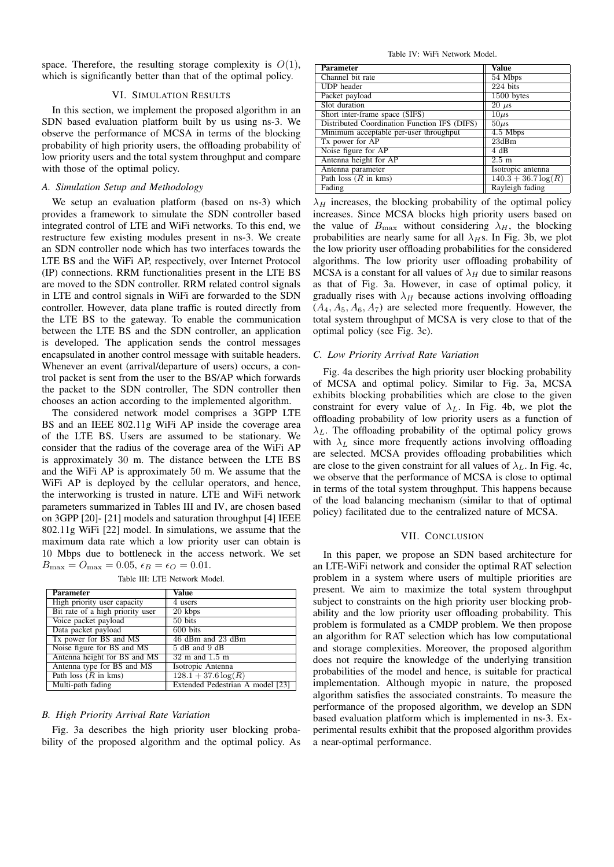space. Therefore, the resulting storage complexity is  $O(1)$ , which is significantly better than that of the optimal policy.

## VI. SIMULATION RESULTS

In this section, we implement the proposed algorithm in an SDN based evaluation platform built by us using ns-3. We observe the performance of MCSA in terms of the blocking probability of high priority users, the offloading probability of low priority users and the total system throughput and compare with those of the optimal policy.

## *A. Simulation Setup and Methodology*

We setup an evaluation platform (based on ns-3) which provides a framework to simulate the SDN controller based integrated control of LTE and WiFi networks. To this end, we restructure few existing modules present in ns-3. We create an SDN controller node which has two interfaces towards the LTE BS and the WiFi AP, respectively, over Internet Protocol (IP) connections. RRM functionalities present in the LTE BS are moved to the SDN controller. RRM related control signals in LTE and control signals in WiFi are forwarded to the SDN controller. However, data plane traffic is routed directly from the LTE BS to the gateway. To enable the communication between the LTE BS and the SDN controller, an application is developed. The application sends the control messages encapsulated in another control message with suitable headers. Whenever an event (arrival/departure of users) occurs, a control packet is sent from the user to the BS/AP which forwards the packet to the SDN controller, The SDN controller then chooses an action according to the implemented algorithm.

The considered network model comprises a 3GPP LTE BS and an IEEE 802.11g WiFi AP inside the coverage area of the LTE BS. Users are assumed to be stationary. We consider that the radius of the coverage area of the WiFi AP is approximately 30 m. The distance between the LTE BS and the WiFi AP is approximately 50 m. We assume that the WiFi AP is deployed by the cellular operators, and hence, the interworking is trusted in nature. LTE and WiFi network parameters summarized in Tables III and IV, are chosen based on 3GPP [20]- [21] models and saturation throughput [4] IEEE 802.11g WiFi [22] model. In simulations, we assume that the maximum data rate which a low priority user can obtain is 10 Mbps due to bottleneck in the access network. We set  $B_{\text{max}} = O_{\text{max}} = 0.05, \epsilon_B = \epsilon_O = 0.01.$ 

| Parameter                              | Value                              |
|----------------------------------------|------------------------------------|
| High priority user capacity            | 4 users                            |
| Bit rate of a high priority user       | 20 kbps                            |
| Voice packet payload                   | 50 bits                            |
| Data packet payload                    | 600 bits                           |
| Tx power for BS and MS                 | 46 dBm and 23 dBm                  |
| Noise figure for BS and MS             | 5 dB and 9 dB                      |
| Antenna height for BS and MS           | $32 \text{ m}$ and $1.5 \text{ m}$ |
| Antenna type for BS and MS             | Isotropic Antenna                  |
| Path loss $(R \text{ in } \text{kms})$ | $128.1 + 37.6 \log(R)$             |
| Multi-path fading                      | Extended Pedestrian A model [23]   |

Table III: LTE Network Model.

#### *B. High Priority Arrival Rate Variation*

Fig. 3a describes the high priority user blocking probability of the proposed algorithm and the optimal policy. As

#### Table IV: WiFi Network Model.

| <b>Parameter</b>                                        | Value                  |
|---------------------------------------------------------|------------------------|
| Channel bit rate                                        | 54 Mbps                |
| <b>UDP</b> header                                       | $224$ bits             |
| Packet payload                                          | 1500 bytes             |
| Slot duration                                           | $20 \mu s$             |
| Short inter-frame space (SIFS)                          | $10\mu s$              |
| Distributed Coordination Function IFS (DIFS)            | $50\mu s$              |
| Minimum acceptable per-user throughput                  | $4.5$ Mbps             |
| Tx power for AP                                         | 23dBm                  |
| Noise figure for AP                                     | 4 dB                   |
| Antenna height for AP                                   | 2.5 m                  |
| Antenna parameter                                       | Isotropic antenna      |
| Path $\overline{\text{loss}(R \text{ in } \text{kms})}$ | $140.3 + 36.7 \log(R)$ |
| Fading                                                  | Rayleigh fading        |

 $\lambda_H$  increases, the blocking probability of the optimal policy increases. Since MCSA blocks high priority users based on the value of  $B_{\text{max}}$  without considering  $\lambda_H$ , the blocking probabilities are nearly same for all  $\lambda$ <sub>H</sub>s. In Fig. 3b, we plot the low priority user offloading probabilities for the considered algorithms. The low priority user offloading probability of MCSA is a constant for all values of  $\lambda_H$  due to similar reasons as that of Fig. 3a. However, in case of optimal policy, it gradually rises with  $\lambda_H$  because actions involving offloading  $(A_4, A_5, A_6, A_7)$  are selected more frequently. However, the total system throughput of MCSA is very close to that of the optimal policy (see Fig. 3c).

#### *C. Low Priority Arrival Rate Variation*

Fig. 4a describes the high priority user blocking probability of MCSA and optimal policy. Similar to Fig. 3a, MCSA exhibits blocking probabilities which are close to the given constraint for every value of  $\lambda_L$ . In Fig. 4b, we plot the offloading probability of low priority users as a function of  $\lambda_L$ . The offloading probability of the optimal policy grows with  $\lambda_L$  since more frequently actions involving offloading are selected. MCSA provides offloading probabilities which are close to the given constraint for all values of  $\lambda_L$ . In Fig. 4c, we observe that the performance of MCSA is close to optimal in terms of the total system throughput. This happens because of the load balancing mechanism (similar to that of optimal policy) facilitated due to the centralized nature of MCSA.

#### VII. CONCLUSION

In this paper, we propose an SDN based architecture for an LTE-WiFi network and consider the optimal RAT selection problem in a system where users of multiple priorities are present. We aim to maximize the total system throughput subject to constraints on the high priority user blocking probability and the low priority user offloading probability. This problem is formulated as a CMDP problem. We then propose an algorithm for RAT selection which has low computational and storage complexities. Moreover, the proposed algorithm does not require the knowledge of the underlying transition probabilities of the model and hence, is suitable for practical implementation. Although myopic in nature, the proposed algorithm satisfies the associated constraints. To measure the performance of the proposed algorithm, we develop an SDN based evaluation platform which is implemented in ns-3. Experimental results exhibit that the proposed algorithm provides a near-optimal performance.